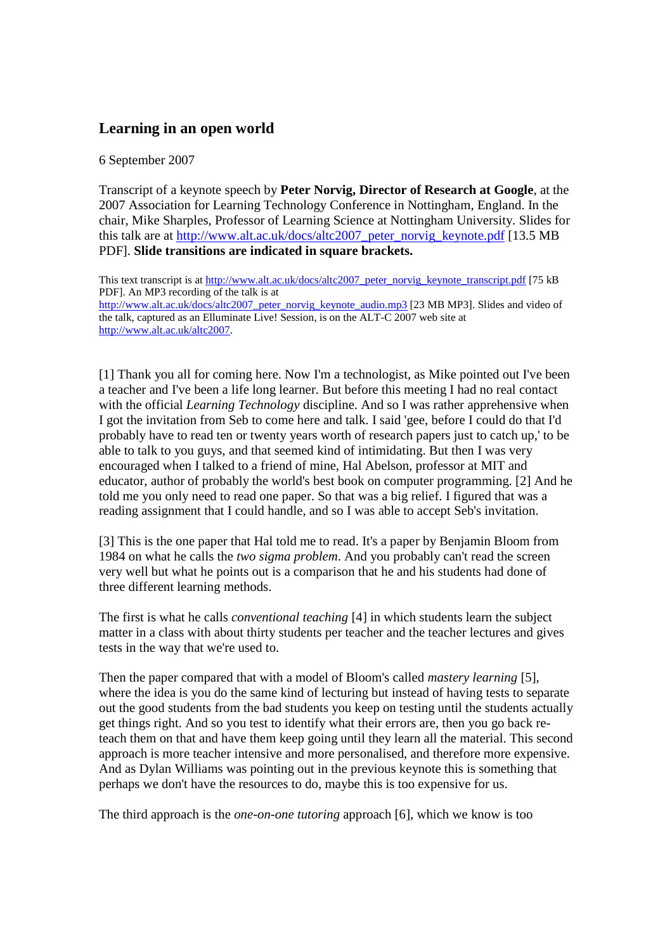## **Learning in an open world**

6 September 2007

Transcript of a keynote speech by **Peter Norvig, Director of Research at Google**, at the 2007 Association for Learning Technology Conference in Nottingham, England. In the chair, Mike Sharples, Professor of Learning Science at Nottingham University. Slides for this talk are at http://www.alt.ac.uk/docs/altc2007\_peter\_norvig\_keynote.pdf [13.5 MB PDF]. **Slide transitions are indicated in square brackets.**

This text transcript is at http://www.alt.ac.uk/docs/altc2007\_peter\_norvig\_keynote\_transcript.pdf [75 kB PDF]. An MP3 recording of the talk is at http://www.alt.ac.uk/docs/altc2007\_peter\_norvig\_keynote\_audio.mp3 [23 MB MP3]. Slides and video of the talk, captured as an Elluminate Live! Session, is on the ALT-C 2007 web site at http://www.alt.ac.uk/altc2007.

[1] Thank you all for coming here. Now I'm a technologist, as Mike pointed out I've been a teacher and I've been a life long learner. But before this meeting I had no real contact with the official *Learning Technology* discipline. And so I was rather apprehensive when I got the invitation from Seb to come here and talk. I said 'gee, before I could do that I'd probably have to read ten or twenty years worth of research papers just to catch up,' to be able to talk to you guys, and that seemed kind of intimidating. But then I was very encouraged when I talked to a friend of mine, Hal Abelson, professor at MIT and educator, author of probably the world's best book on computer programming. [2] And he told me you only need to read one paper. So that was a big relief. I figured that was a reading assignment that I could handle, and so I was able to accept Seb's invitation.

[3] This is the one paper that Hal told me to read. It's a paper by Benjamin Bloom from 1984 on what he calls the *two sigma problem*. And you probably can't read the screen very well but what he points out is a comparison that he and his students had done of three different learning methods.

The first is what he calls *conventional teaching* [4] in which students learn the subject matter in a class with about thirty students per teacher and the teacher lectures and gives tests in the way that we're used to.

Then the paper compared that with a model of Bloom's called *mastery learning* [5], where the idea is you do the same kind of lecturing but instead of having tests to separate out the good students from the bad students you keep on testing until the students actually get things right. And so you test to identify what their errors are, then you go back reteach them on that and have them keep going until they learn all the material. This second approach is more teacher intensive and more personalised, and therefore more expensive. And as Dylan Williams was pointing out in the previous keynote this is something that perhaps we don't have the resources to do, maybe this is too expensive for us.

The third approach is the *one-on-one tutoring* approach [6], which we know is too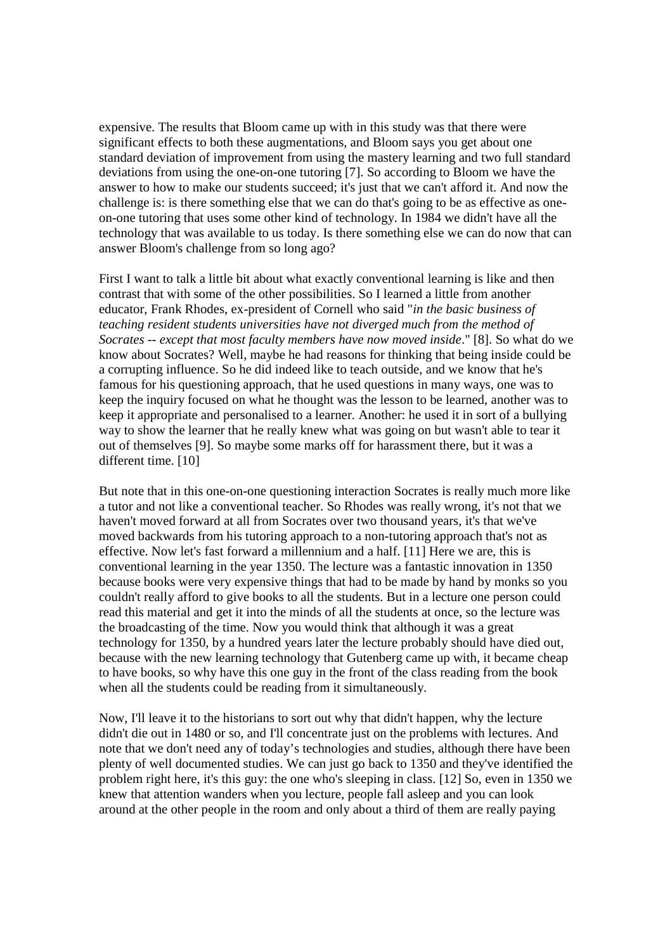expensive. The results that Bloom came up with in this study was that there were significant effects to both these augmentations, and Bloom says you get about one standard deviation of improvement from using the mastery learning and two full standard deviations from using the one-on-one tutoring [7]. So according to Bloom we have the answer to how to make our students succeed; it's just that we can't afford it. And now the challenge is: is there something else that we can do that's going to be as effective as oneon-one tutoring that uses some other kind of technology. In 1984 we didn't have all the technology that was available to us today. Is there something else we can do now that can answer Bloom's challenge from so long ago?

First I want to talk a little bit about what exactly conventional learning is like and then contrast that with some of the other possibilities. So I learned a little from another educator, Frank Rhodes, ex-president of Cornell who said "*in the basic business of teaching resident students universities have not diverged much from the method of Socrates -- except that most faculty members have now moved inside*." [8]. So what do we know about Socrates? Well, maybe he had reasons for thinking that being inside could be a corrupting influence. So he did indeed like to teach outside, and we know that he's famous for his questioning approach, that he used questions in many ways, one was to keep the inquiry focused on what he thought was the lesson to be learned, another was to keep it appropriate and personalised to a learner. Another: he used it in sort of a bullying way to show the learner that he really knew what was going on but wasn't able to tear it out of themselves [9]. So maybe some marks off for harassment there, but it was a different time. [10]

But note that in this one-on-one questioning interaction Socrates is really much more like a tutor and not like a conventional teacher. So Rhodes was really wrong, it's not that we haven't moved forward at all from Socrates over two thousand years, it's that we've moved backwards from his tutoring approach to a non-tutoring approach that's not as effective. Now let's fast forward a millennium and a half. [11] Here we are, this is conventional learning in the year 1350. The lecture was a fantastic innovation in 1350 because books were very expensive things that had to be made by hand by monks so you couldn't really afford to give books to all the students. But in a lecture one person could read this material and get it into the minds of all the students at once, so the lecture was the broadcasting of the time. Now you would think that although it was a great technology for 1350, by a hundred years later the lecture probably should have died out, because with the new learning technology that Gutenberg came up with, it became cheap to have books, so why have this one guy in the front of the class reading from the book when all the students could be reading from it simultaneously.

Now, I'll leave it to the historians to sort out why that didn't happen, why the lecture didn't die out in 1480 or so, and I'll concentrate just on the problems with lectures. And note that we don't need any of today's technologies and studies, although there have been plenty of well documented studies. We can just go back to 1350 and they've identified the problem right here, it's this guy: the one who's sleeping in class. [12] So, even in 1350 we knew that attention wanders when you lecture, people fall asleep and you can look around at the other people in the room and only about a third of them are really paying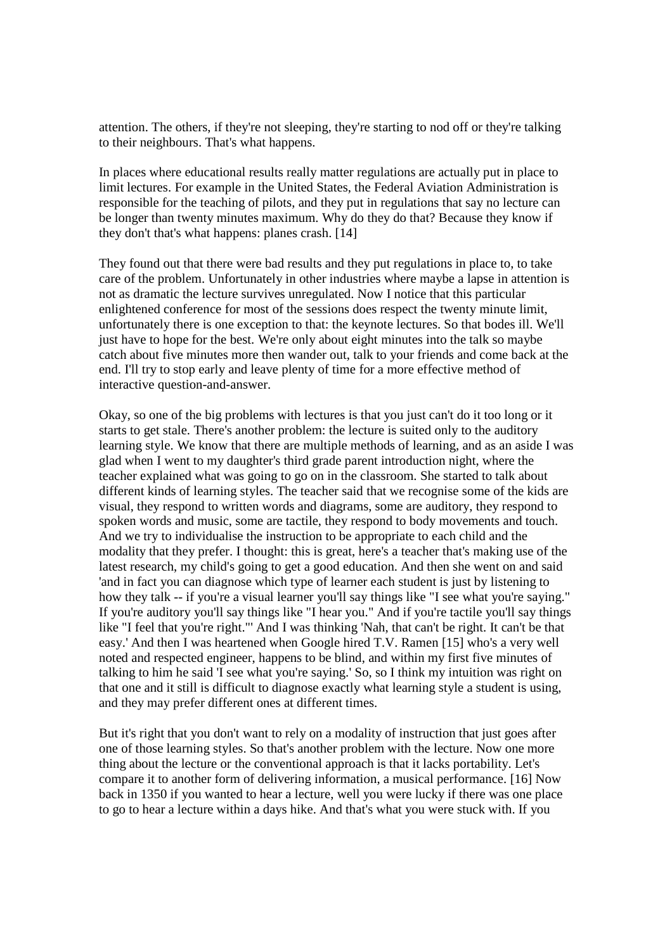attention. The others, if they're not sleeping, they're starting to nod off or they're talking to their neighbours. That's what happens.

In places where educational results really matter regulations are actually put in place to limit lectures. For example in the United States, the Federal Aviation Administration is responsible for the teaching of pilots, and they put in regulations that say no lecture can be longer than twenty minutes maximum. Why do they do that? Because they know if they don't that's what happens: planes crash. [14]

They found out that there were bad results and they put regulations in place to, to take care of the problem. Unfortunately in other industries where maybe a lapse in attention is not as dramatic the lecture survives unregulated. Now I notice that this particular enlightened conference for most of the sessions does respect the twenty minute limit, unfortunately there is one exception to that: the keynote lectures. So that bodes ill. We'll just have to hope for the best. We're only about eight minutes into the talk so maybe catch about five minutes more then wander out, talk to your friends and come back at the end. I'll try to stop early and leave plenty of time for a more effective method of interactive question-and-answer.

Okay, so one of the big problems with lectures is that you just can't do it too long or it starts to get stale. There's another problem: the lecture is suited only to the auditory learning style. We know that there are multiple methods of learning, and as an aside I was glad when I went to my daughter's third grade parent introduction night, where the teacher explained what was going to go on in the classroom. She started to talk about different kinds of learning styles. The teacher said that we recognise some of the kids are visual, they respond to written words and diagrams, some are auditory, they respond to spoken words and music, some are tactile, they respond to body movements and touch. And we try to individualise the instruction to be appropriate to each child and the modality that they prefer. I thought: this is great, here's a teacher that's making use of the latest research, my child's going to get a good education. And then she went on and said 'and in fact you can diagnose which type of learner each student is just by listening to how they talk -- if you're a visual learner you'll say things like "I see what you're saying." If you're auditory you'll say things like "I hear you." And if you're tactile you'll say things like "I feel that you're right."' And I was thinking 'Nah, that can't be right. It can't be that easy.' And then I was heartened when Google hired T.V. Ramen [15] who's a very well noted and respected engineer, happens to be blind, and within my first five minutes of talking to him he said 'I see what you're saying.' So, so I think my intuition was right on that one and it still is difficult to diagnose exactly what learning style a student is using, and they may prefer different ones at different times.

But it's right that you don't want to rely on a modality of instruction that just goes after one of those learning styles. So that's another problem with the lecture. Now one more thing about the lecture or the conventional approach is that it lacks portability. Let's compare it to another form of delivering information, a musical performance. [16] Now back in 1350 if you wanted to hear a lecture, well you were lucky if there was one place to go to hear a lecture within a days hike. And that's what you were stuck with. If you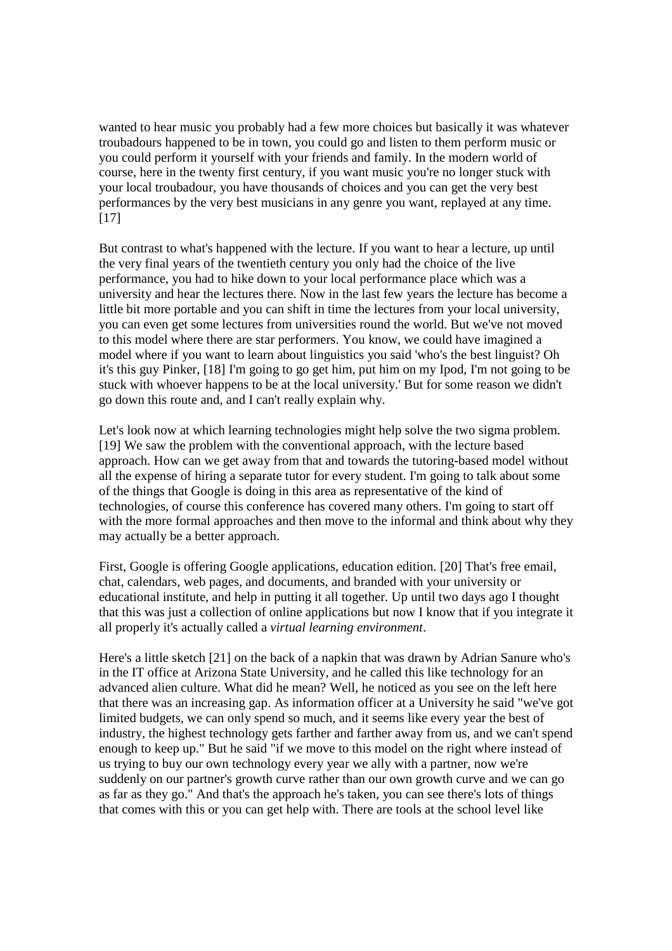wanted to hear music you probably had a few more choices but basically it was whatever troubadours happened to be in town, you could go and listen to them perform music or you could perform it yourself with your friends and family. In the modern world of course, here in the twenty first century, if you want music you're no longer stuck with your local troubadour, you have thousands of choices and you can get the very best performances by the very best musicians in any genre you want, replayed at any time. [17]

But contrast to what's happened with the lecture. If you want to hear a lecture, up until the very final years of the twentieth century you only had the choice of the live performance, you had to hike down to your local performance place which was a university and hear the lectures there. Now in the last few years the lecture has become a little bit more portable and you can shift in time the lectures from your local university, you can even get some lectures from universities round the world. But we've not moved to this model where there are star performers. You know, we could have imagined a model where if you want to learn about linguistics you said 'who's the best linguist? Oh it's this guy Pinker, [18] I'm going to go get him, put him on my Ipod, I'm not going to be stuck with whoever happens to be at the local university.' But for some reason we didn't go down this route and, and I can't really explain why.

Let's look now at which learning technologies might help solve the two sigma problem. [19] We saw the problem with the conventional approach, with the lecture based approach. How can we get away from that and towards the tutoring-based model without all the expense of hiring a separate tutor for every student. I'm going to talk about some of the things that Google is doing in this area as representative of the kind of technologies, of course this conference has covered many others. I'm going to start off with the more formal approaches and then move to the informal and think about why they may actually be a better approach.

First, Google is offering Google applications, education edition. [20] That's free email, chat, calendars, web pages, and documents, and branded with your university or educational institute, and help in putting it all together. Up until two days ago I thought that this was just a collection of online applications but now I know that if you integrate it all properly it's actually called a *virtual learning environment*.

Here's a little sketch [21] on the back of a napkin that was drawn by Adrian Sanure who's in the IT office at Arizona State University, and he called this like technology for an advanced alien culture. What did he mean? Well, he noticed as you see on the left here that there was an increasing gap. As information officer at a University he said "we've got limited budgets, we can only spend so much, and it seems like every year the best of industry, the highest technology gets farther and farther away from us, and we can't spend enough to keep up." But he said "if we move to this model on the right where instead of us trying to buy our own technology every year we ally with a partner, now we're suddenly on our partner's growth curve rather than our own growth curve and we can go as far as they go." And that's the approach he's taken, you can see there's lots of things that comes with this or you can get help with. There are tools at the school level like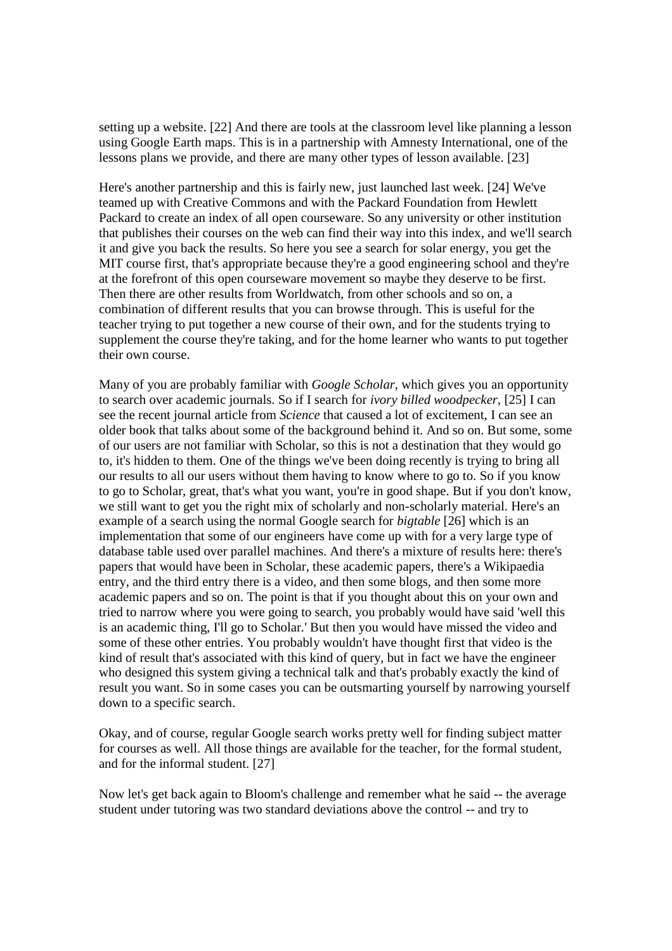setting up a website. [22] And there are tools at the classroom level like planning a lesson using Google Earth maps. This is in a partnership with Amnesty International, one of the lessons plans we provide, and there are many other types of lesson available. [23]

Here's another partnership and this is fairly new, just launched last week. [24] We've teamed up with Creative Commons and with the Packard Foundation from Hewlett Packard to create an index of all open courseware. So any university or other institution that publishes their courses on the web can find their way into this index, and we'll search it and give you back the results. So here you see a search for solar energy, you get the MIT course first, that's appropriate because they're a good engineering school and they're at the forefront of this open courseware movement so maybe they deserve to be first. Then there are other results from Worldwatch, from other schools and so on, a combination of different results that you can browse through. This is useful for the teacher trying to put together a new course of their own, and for the students trying to supplement the course they're taking, and for the home learner who wants to put together their own course.

Many of you are probably familiar with *Google Scholar*, which gives you an opportunity to search over academic journals. So if I search for *ivory billed woodpecker*, [25] I can see the recent journal article from *Science* that caused a lot of excitement, I can see an older book that talks about some of the background behind it. And so on. But some, some of our users are not familiar with Scholar, so this is not a destination that they would go to, it's hidden to them. One of the things we've been doing recently is trying to bring all our results to all our users without them having to know where to go to. So if you know to go to Scholar, great, that's what you want, you're in good shape. But if you don't know, we still want to get you the right mix of scholarly and non-scholarly material. Here's an example of a search using the normal Google search for *bigtable* [26] which is an implementation that some of our engineers have come up with for a very large type of database table used over parallel machines. And there's a mixture of results here: there's papers that would have been in Scholar, these academic papers, there's a Wikipaedia entry, and the third entry there is a video, and then some blogs, and then some more academic papers and so on. The point is that if you thought about this on your own and tried to narrow where you were going to search, you probably would have said 'well this is an academic thing, I'll go to Scholar.' But then you would have missed the video and some of these other entries. You probably wouldn't have thought first that video is the kind of result that's associated with this kind of query, but in fact we have the engineer who designed this system giving a technical talk and that's probably exactly the kind of result you want. So in some cases you can be outsmarting yourself by narrowing yourself down to a specific search.

Okay, and of course, regular Google search works pretty well for finding subject matter for courses as well. All those things are available for the teacher, for the formal student, and for the informal student. [27]

Now let's get back again to Bloom's challenge and remember what he said -- the average student under tutoring was two standard deviations above the control -- and try to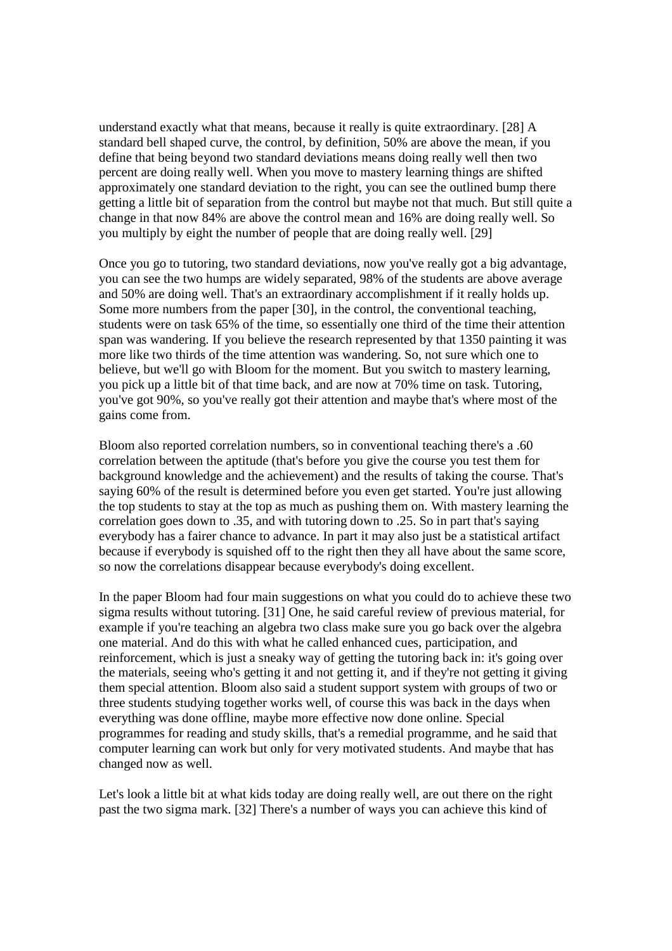understand exactly what that means, because it really is quite extraordinary. [28] A standard bell shaped curve, the control, by definition, 50% are above the mean, if you define that being beyond two standard deviations means doing really well then two percent are doing really well. When you move to mastery learning things are shifted approximately one standard deviation to the right, you can see the outlined bump there getting a little bit of separation from the control but maybe not that much. But still quite a change in that now 84% are above the control mean and 16% are doing really well. So you multiply by eight the number of people that are doing really well. [29]

Once you go to tutoring, two standard deviations, now you've really got a big advantage, you can see the two humps are widely separated, 98% of the students are above average and 50% are doing well. That's an extraordinary accomplishment if it really holds up. Some more numbers from the paper [30], in the control, the conventional teaching, students were on task 65% of the time, so essentially one third of the time their attention span was wandering. If you believe the research represented by that 1350 painting it was more like two thirds of the time attention was wandering. So, not sure which one to believe, but we'll go with Bloom for the moment. But you switch to mastery learning, you pick up a little bit of that time back, and are now at 70% time on task. Tutoring, you've got 90%, so you've really got their attention and maybe that's where most of the gains come from.

Bloom also reported correlation numbers, so in conventional teaching there's a .60 correlation between the aptitude (that's before you give the course you test them for background knowledge and the achievement) and the results of taking the course. That's saying 60% of the result is determined before you even get started. You're just allowing the top students to stay at the top as much as pushing them on. With mastery learning the correlation goes down to .35, and with tutoring down to .25. So in part that's saying everybody has a fairer chance to advance. In part it may also just be a statistical artifact because if everybody is squished off to the right then they all have about the same score, so now the correlations disappear because everybody's doing excellent.

In the paper Bloom had four main suggestions on what you could do to achieve these two sigma results without tutoring. [31] One, he said careful review of previous material, for example if you're teaching an algebra two class make sure you go back over the algebra one material. And do this with what he called enhanced cues, participation, and reinforcement, which is just a sneaky way of getting the tutoring back in: it's going over the materials, seeing who's getting it and not getting it, and if they're not getting it giving them special attention. Bloom also said a student support system with groups of two or three students studying together works well, of course this was back in the days when everything was done offline, maybe more effective now done online. Special programmes for reading and study skills, that's a remedial programme, and he said that computer learning can work but only for very motivated students. And maybe that has changed now as well.

Let's look a little bit at what kids today are doing really well, are out there on the right past the two sigma mark. [32] There's a number of ways you can achieve this kind of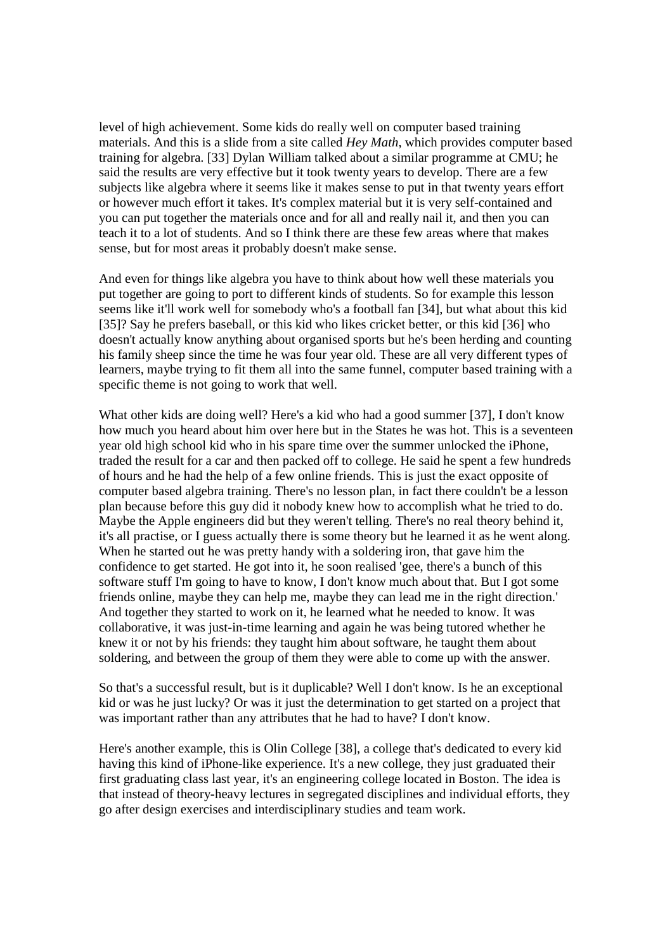level of high achievement. Some kids do really well on computer based training materials. And this is a slide from a site called *Hey Math*, which provides computer based training for algebra. [33] Dylan William talked about a similar programme at CMU; he said the results are very effective but it took twenty years to develop. There are a few subjects like algebra where it seems like it makes sense to put in that twenty years effort or however much effort it takes. It's complex material but it is very self-contained and you can put together the materials once and for all and really nail it, and then you can teach it to a lot of students. And so I think there are these few areas where that makes sense, but for most areas it probably doesn't make sense.

And even for things like algebra you have to think about how well these materials you put together are going to port to different kinds of students. So for example this lesson seems like it'll work well for somebody who's a football fan [34], but what about this kid [35]? Say he prefers baseball, or this kid who likes cricket better, or this kid [36] who doesn't actually know anything about organised sports but he's been herding and counting his family sheep since the time he was four year old. These are all very different types of learners, maybe trying to fit them all into the same funnel, computer based training with a specific theme is not going to work that well.

What other kids are doing well? Here's a kid who had a good summer [37], I don't know how much you heard about him over here but in the States he was hot. This is a seventeen year old high school kid who in his spare time over the summer unlocked the iPhone, traded the result for a car and then packed off to college. He said he spent a few hundreds of hours and he had the help of a few online friends. This is just the exact opposite of computer based algebra training. There's no lesson plan, in fact there couldn't be a lesson plan because before this guy did it nobody knew how to accomplish what he tried to do. Maybe the Apple engineers did but they weren't telling. There's no real theory behind it, it's all practise, or I guess actually there is some theory but he learned it as he went along. When he started out he was pretty handy with a soldering iron, that gave him the confidence to get started. He got into it, he soon realised 'gee, there's a bunch of this software stuff I'm going to have to know, I don't know much about that. But I got some friends online, maybe they can help me, maybe they can lead me in the right direction.' And together they started to work on it, he learned what he needed to know. It was collaborative, it was just-in-time learning and again he was being tutored whether he knew it or not by his friends: they taught him about software, he taught them about soldering, and between the group of them they were able to come up with the answer.

So that's a successful result, but is it duplicable? Well I don't know. Is he an exceptional kid or was he just lucky? Or was it just the determination to get started on a project that was important rather than any attributes that he had to have? I don't know.

Here's another example, this is Olin College [38], a college that's dedicated to every kid having this kind of iPhone-like experience. It's a new college, they just graduated their first graduating class last year, it's an engineering college located in Boston. The idea is that instead of theory-heavy lectures in segregated disciplines and individual efforts, they go after design exercises and interdisciplinary studies and team work.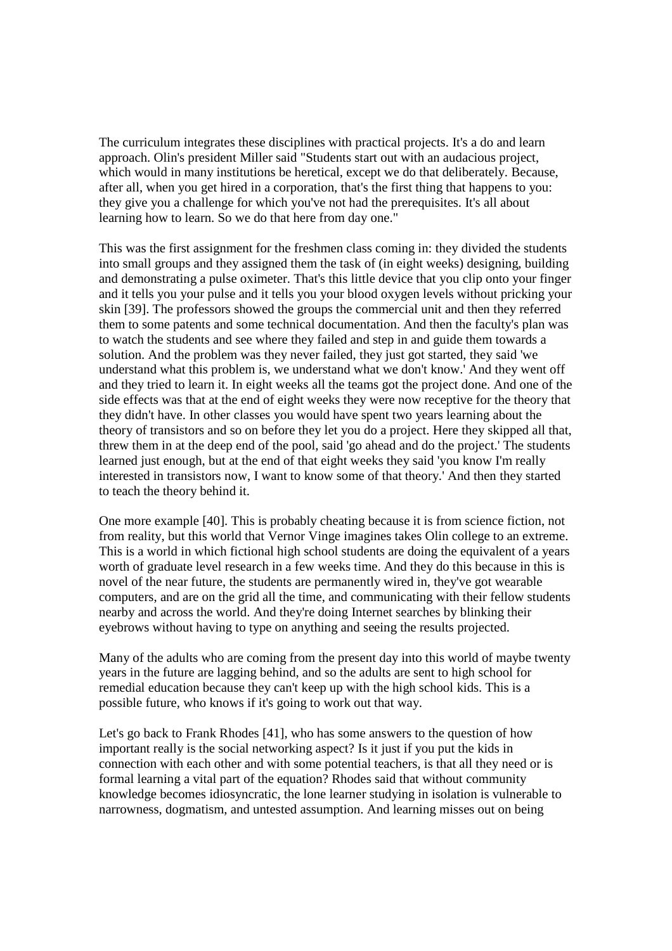The curriculum integrates these disciplines with practical projects. It's a do and learn approach. Olin's president Miller said "Students start out with an audacious project, which would in many institutions be heretical, except we do that deliberately. Because, after all, when you get hired in a corporation, that's the first thing that happens to you: they give you a challenge for which you've not had the prerequisites. It's all about learning how to learn. So we do that here from day one."

This was the first assignment for the freshmen class coming in: they divided the students into small groups and they assigned them the task of (in eight weeks) designing, building and demonstrating a pulse oximeter. That's this little device that you clip onto your finger and it tells you your pulse and it tells you your blood oxygen levels without pricking your skin [39]. The professors showed the groups the commercial unit and then they referred them to some patents and some technical documentation. And then the faculty's plan was to watch the students and see where they failed and step in and guide them towards a solution. And the problem was they never failed, they just got started, they said 'we understand what this problem is, we understand what we don't know.' And they went off and they tried to learn it. In eight weeks all the teams got the project done. And one of the side effects was that at the end of eight weeks they were now receptive for the theory that they didn't have. In other classes you would have spent two years learning about the theory of transistors and so on before they let you do a project. Here they skipped all that, threw them in at the deep end of the pool, said 'go ahead and do the project.' The students learned just enough, but at the end of that eight weeks they said 'you know I'm really interested in transistors now, I want to know some of that theory.' And then they started to teach the theory behind it.

One more example [40]. This is probably cheating because it is from science fiction, not from reality, but this world that Vernor Vinge imagines takes Olin college to an extreme. This is a world in which fictional high school students are doing the equivalent of a years worth of graduate level research in a few weeks time. And they do this because in this is novel of the near future, the students are permanently wired in, they've got wearable computers, and are on the grid all the time, and communicating with their fellow students nearby and across the world. And they're doing Internet searches by blinking their eyebrows without having to type on anything and seeing the results projected.

Many of the adults who are coming from the present day into this world of maybe twenty years in the future are lagging behind, and so the adults are sent to high school for remedial education because they can't keep up with the high school kids. This is a possible future, who knows if it's going to work out that way.

Let's go back to Frank Rhodes [41], who has some answers to the question of how important really is the social networking aspect? Is it just if you put the kids in connection with each other and with some potential teachers, is that all they need or is formal learning a vital part of the equation? Rhodes said that without community knowledge becomes idiosyncratic, the lone learner studying in isolation is vulnerable to narrowness, dogmatism, and untested assumption. And learning misses out on being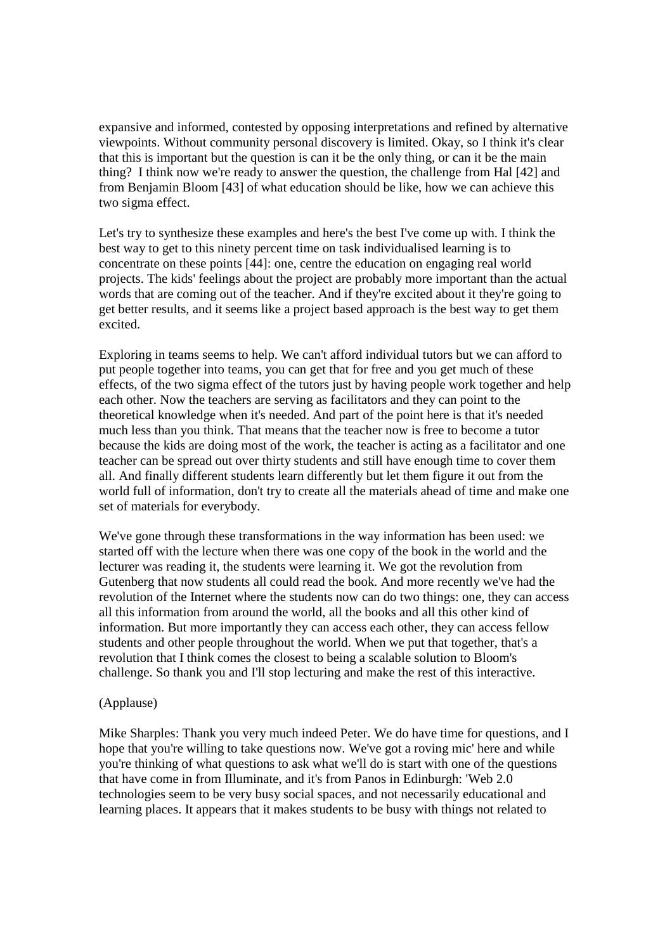expansive and informed, contested by opposing interpretations and refined by alternative viewpoints. Without community personal discovery is limited. Okay, so I think it's clear that this is important but the question is can it be the only thing, or can it be the main thing? I think now we're ready to answer the question, the challenge from Hal [42] and from Benjamin Bloom [43] of what education should be like, how we can achieve this two sigma effect.

Let's try to synthesize these examples and here's the best I've come up with. I think the best way to get to this ninety percent time on task individualised learning is to concentrate on these points [44]: one, centre the education on engaging real world projects. The kids' feelings about the project are probably more important than the actual words that are coming out of the teacher. And if they're excited about it they're going to get better results, and it seems like a project based approach is the best way to get them excited.

Exploring in teams seems to help. We can't afford individual tutors but we can afford to put people together into teams, you can get that for free and you get much of these effects, of the two sigma effect of the tutors just by having people work together and help each other. Now the teachers are serving as facilitators and they can point to the theoretical knowledge when it's needed. And part of the point here is that it's needed much less than you think. That means that the teacher now is free to become a tutor because the kids are doing most of the work, the teacher is acting as a facilitator and one teacher can be spread out over thirty students and still have enough time to cover them all. And finally different students learn differently but let them figure it out from the world full of information, don't try to create all the materials ahead of time and make one set of materials for everybody.

We've gone through these transformations in the way information has been used: we started off with the lecture when there was one copy of the book in the world and the lecturer was reading it, the students were learning it. We got the revolution from Gutenberg that now students all could read the book. And more recently we've had the revolution of the Internet where the students now can do two things: one, they can access all this information from around the world, all the books and all this other kind of information. But more importantly they can access each other, they can access fellow students and other people throughout the world. When we put that together, that's a revolution that I think comes the closest to being a scalable solution to Bloom's challenge. So thank you and I'll stop lecturing and make the rest of this interactive.

## (Applause)

Mike Sharples: Thank you very much indeed Peter. We do have time for questions, and I hope that you're willing to take questions now. We've got a roving mic' here and while you're thinking of what questions to ask what we'll do is start with one of the questions that have come in from Illuminate, and it's from Panos in Edinburgh: 'Web 2.0 technologies seem to be very busy social spaces, and not necessarily educational and learning places. It appears that it makes students to be busy with things not related to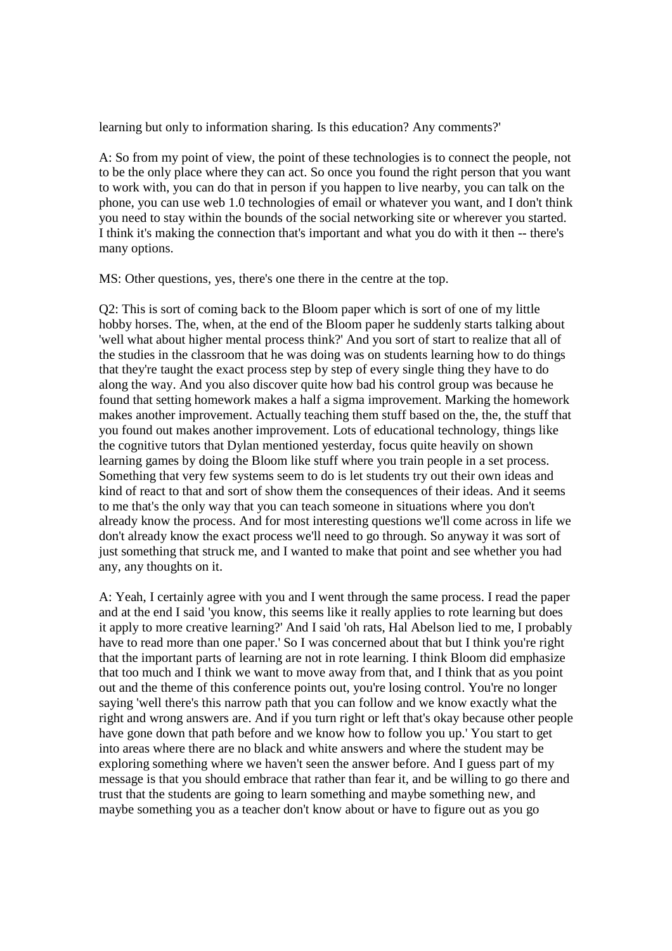learning but only to information sharing. Is this education? Any comments?'

A: So from my point of view, the point of these technologies is to connect the people, not to be the only place where they can act. So once you found the right person that you want to work with, you can do that in person if you happen to live nearby, you can talk on the phone, you can use web 1.0 technologies of email or whatever you want, and I don't think you need to stay within the bounds of the social networking site or wherever you started. I think it's making the connection that's important and what you do with it then -- there's many options.

MS: Other questions, yes, there's one there in the centre at the top.

Q2: This is sort of coming back to the Bloom paper which is sort of one of my little hobby horses. The, when, at the end of the Bloom paper he suddenly starts talking about 'well what about higher mental process think?' And you sort of start to realize that all of the studies in the classroom that he was doing was on students learning how to do things that they're taught the exact process step by step of every single thing they have to do along the way. And you also discover quite how bad his control group was because he found that setting homework makes a half a sigma improvement. Marking the homework makes another improvement. Actually teaching them stuff based on the, the, the stuff that you found out makes another improvement. Lots of educational technology, things like the cognitive tutors that Dylan mentioned yesterday, focus quite heavily on shown learning games by doing the Bloom like stuff where you train people in a set process. Something that very few systems seem to do is let students try out their own ideas and kind of react to that and sort of show them the consequences of their ideas. And it seems to me that's the only way that you can teach someone in situations where you don't already know the process. And for most interesting questions we'll come across in life we don't already know the exact process we'll need to go through. So anyway it was sort of just something that struck me, and I wanted to make that point and see whether you had any, any thoughts on it.

A: Yeah, I certainly agree with you and I went through the same process. I read the paper and at the end I said 'you know, this seems like it really applies to rote learning but does it apply to more creative learning?' And I said 'oh rats, Hal Abelson lied to me, I probably have to read more than one paper.' So I was concerned about that but I think you're right that the important parts of learning are not in rote learning. I think Bloom did emphasize that too much and I think we want to move away from that, and I think that as you point out and the theme of this conference points out, you're losing control. You're no longer saying 'well there's this narrow path that you can follow and we know exactly what the right and wrong answers are. And if you turn right or left that's okay because other people have gone down that path before and we know how to follow you up.' You start to get into areas where there are no black and white answers and where the student may be exploring something where we haven't seen the answer before. And I guess part of my message is that you should embrace that rather than fear it, and be willing to go there and trust that the students are going to learn something and maybe something new, and maybe something you as a teacher don't know about or have to figure out as you go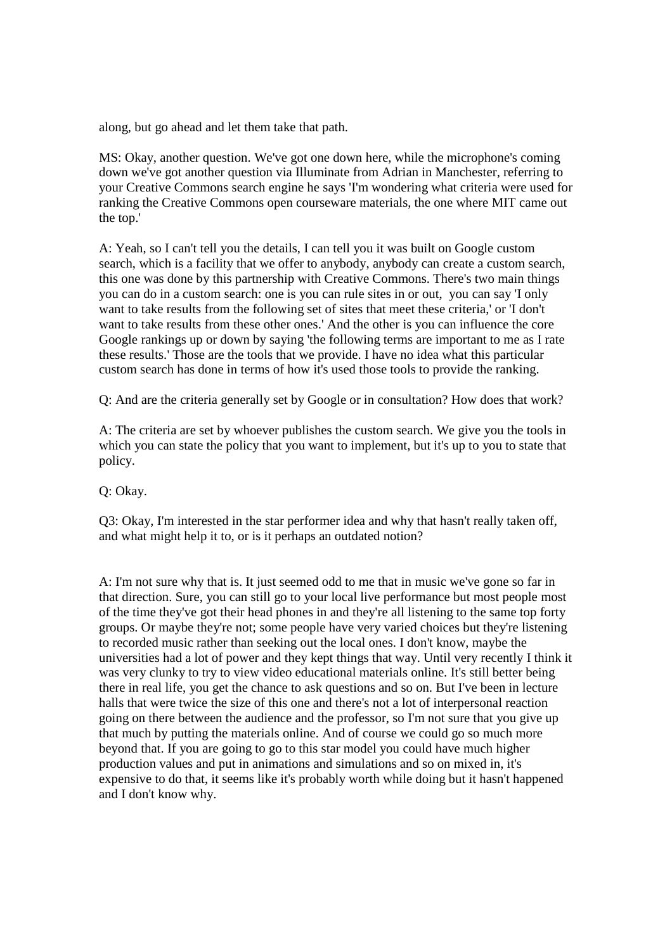along, but go ahead and let them take that path.

MS: Okay, another question. We've got one down here, while the microphone's coming down we've got another question via Illuminate from Adrian in Manchester, referring to your Creative Commons search engine he says 'I'm wondering what criteria were used for ranking the Creative Commons open courseware materials, the one where MIT came out the top.'

A: Yeah, so I can't tell you the details, I can tell you it was built on Google custom search, which is a facility that we offer to anybody, anybody can create a custom search, this one was done by this partnership with Creative Commons. There's two main things you can do in a custom search: one is you can rule sites in or out, you can say 'I only want to take results from the following set of sites that meet these criteria,' or 'I don't want to take results from these other ones.' And the other is you can influence the core Google rankings up or down by saying 'the following terms are important to me as I rate these results.' Those are the tools that we provide. I have no idea what this particular custom search has done in terms of how it's used those tools to provide the ranking.

Q: And are the criteria generally set by Google or in consultation? How does that work?

A: The criteria are set by whoever publishes the custom search. We give you the tools in which you can state the policy that you want to implement, but it's up to you to state that policy.

Q: Okay.

Q3: Okay, I'm interested in the star performer idea and why that hasn't really taken off, and what might help it to, or is it perhaps an outdated notion?

A: I'm not sure why that is. It just seemed odd to me that in music we've gone so far in that direction. Sure, you can still go to your local live performance but most people most of the time they've got their head phones in and they're all listening to the same top forty groups. Or maybe they're not; some people have very varied choices but they're listening to recorded music rather than seeking out the local ones. I don't know, maybe the universities had a lot of power and they kept things that way. Until very recently I think it was very clunky to try to view video educational materials online. It's still better being there in real life, you get the chance to ask questions and so on. But I've been in lecture halls that were twice the size of this one and there's not a lot of interpersonal reaction going on there between the audience and the professor, so I'm not sure that you give up that much by putting the materials online. And of course we could go so much more beyond that. If you are going to go to this star model you could have much higher production values and put in animations and simulations and so on mixed in, it's expensive to do that, it seems like it's probably worth while doing but it hasn't happened and I don't know why.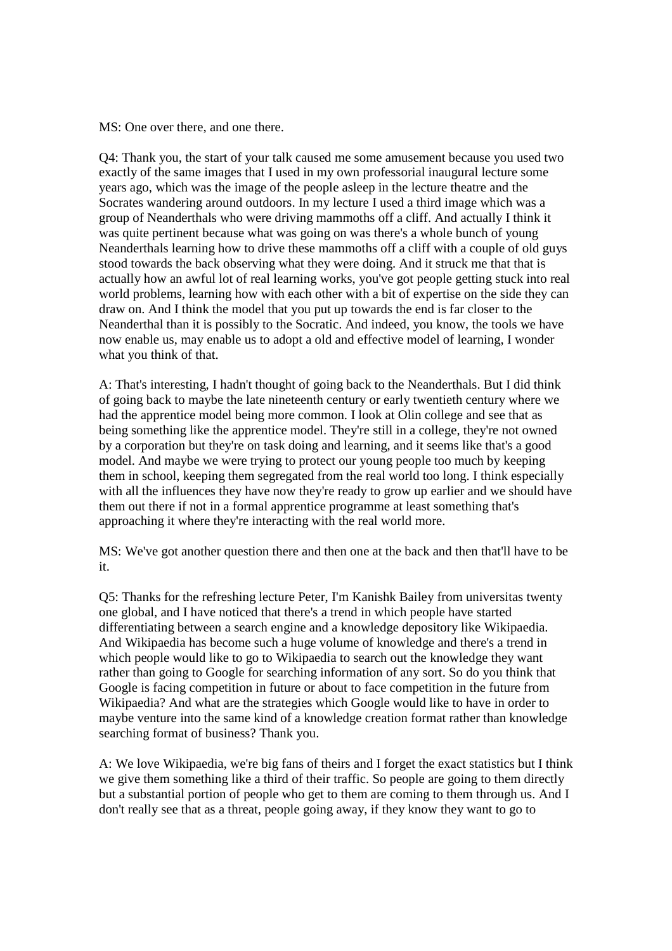MS: One over there, and one there.

Q4: Thank you, the start of your talk caused me some amusement because you used two exactly of the same images that I used in my own professorial inaugural lecture some years ago, which was the image of the people asleep in the lecture theatre and the Socrates wandering around outdoors. In my lecture I used a third image which was a group of Neanderthals who were driving mammoths off a cliff. And actually I think it was quite pertinent because what was going on was there's a whole bunch of young Neanderthals learning how to drive these mammoths off a cliff with a couple of old guys stood towards the back observing what they were doing. And it struck me that that is actually how an awful lot of real learning works, you've got people getting stuck into real world problems, learning how with each other with a bit of expertise on the side they can draw on. And I think the model that you put up towards the end is far closer to the Neanderthal than it is possibly to the Socratic. And indeed, you know, the tools we have now enable us, may enable us to adopt a old and effective model of learning, I wonder what you think of that.

A: That's interesting, I hadn't thought of going back to the Neanderthals. But I did think of going back to maybe the late nineteenth century or early twentieth century where we had the apprentice model being more common. I look at Olin college and see that as being something like the apprentice model. They're still in a college, they're not owned by a corporation but they're on task doing and learning, and it seems like that's a good model. And maybe we were trying to protect our young people too much by keeping them in school, keeping them segregated from the real world too long. I think especially with all the influences they have now they're ready to grow up earlier and we should have them out there if not in a formal apprentice programme at least something that's approaching it where they're interacting with the real world more.

MS: We've got another question there and then one at the back and then that'll have to be it.

Q5: Thanks for the refreshing lecture Peter, I'm Kanishk Bailey from universitas twenty one global, and I have noticed that there's a trend in which people have started differentiating between a search engine and a knowledge depository like Wikipaedia. And Wikipaedia has become such a huge volume of knowledge and there's a trend in which people would like to go to Wikipaedia to search out the knowledge they want rather than going to Google for searching information of any sort. So do you think that Google is facing competition in future or about to face competition in the future from Wikipaedia? And what are the strategies which Google would like to have in order to maybe venture into the same kind of a knowledge creation format rather than knowledge searching format of business? Thank you.

A: We love Wikipaedia, we're big fans of theirs and I forget the exact statistics but I think we give them something like a third of their traffic. So people are going to them directly but a substantial portion of people who get to them are coming to them through us. And I don't really see that as a threat, people going away, if they know they want to go to